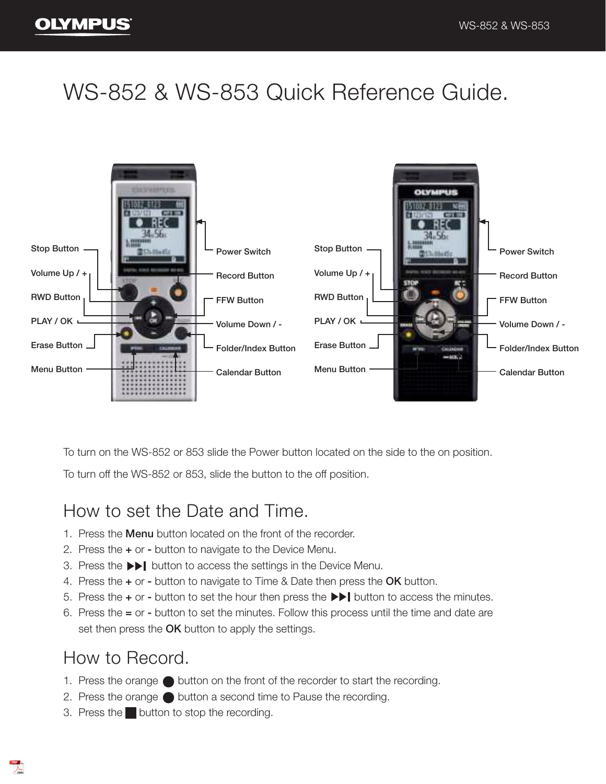# WS-852 & WS-853 Quick Reference Guide.



To turn on the WS-852 or 853 slide the Power button located on the side to the on position.

To turn off the WS-852 or 853, slide the button to the off position.

### How to set the Date and Time.

- 1. Press the **Menu** button located on the front of the recorder.
- 2. Press the + or button to navigate to the Device Menu.
- 3. Press the button to access the settings in the Device Menu.
- 4. Press the  $+$  or button to navigate to Time & Date then press the OK button.
- 5. Press the  $+$  or button to set the hour then press the  $\blacktriangleright$   $\blacktriangleright$  button to access the minutes.
- 6. Press the = or button to set the minutes. Follow this process until the time and date are set then press the OK button to apply the settings.

### How to Record.

- 1. Press the orange  $\bigcirc$  button on the front of the recorder to start the recording.
- 2. Press the orange button a second time to Pause the recording.
- 3. Press the button to stop the recording.